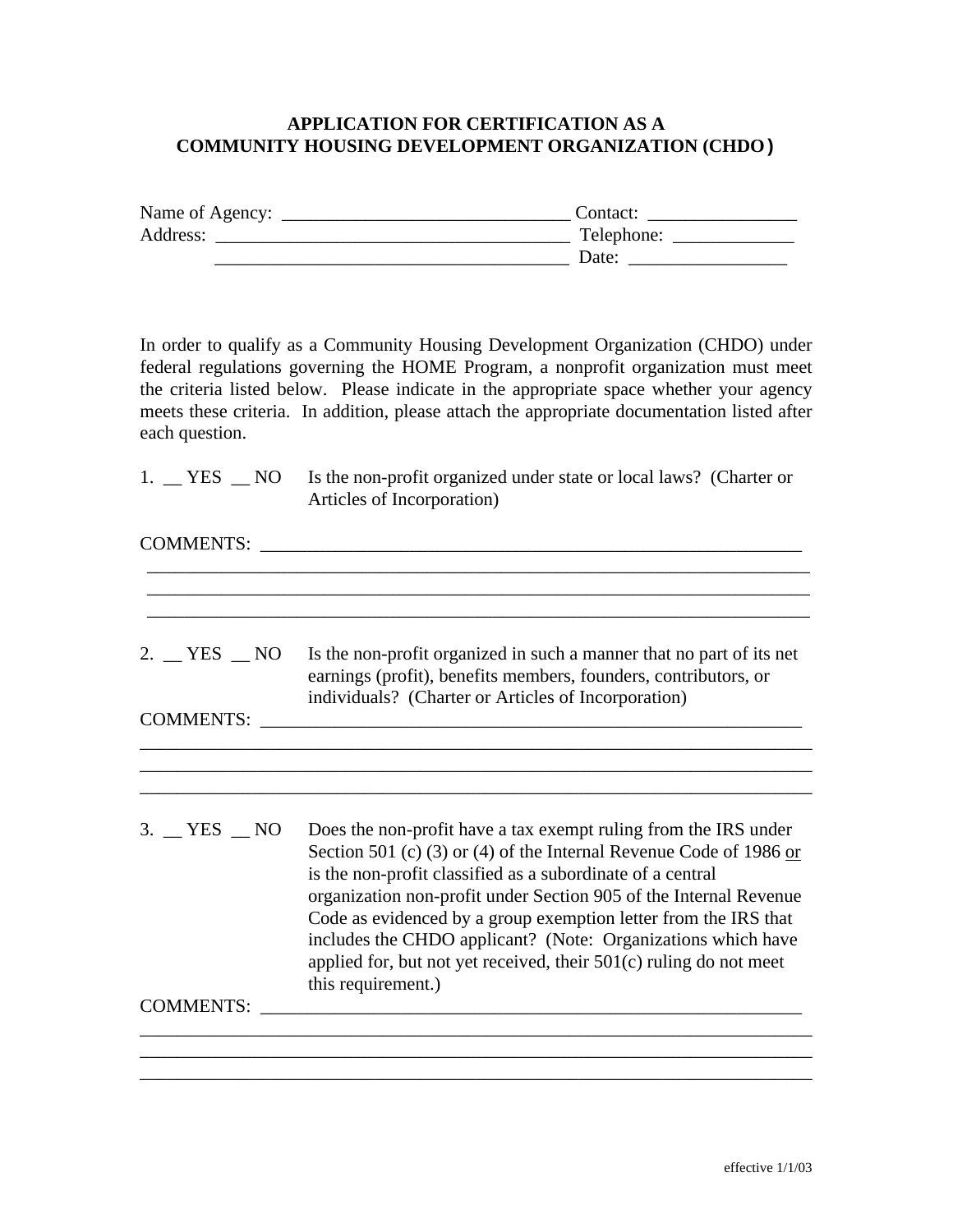## **APPLICATION FOR CERTIFICATION AS A COMMUNITY HOUSING DEVELOPMENT ORGANIZATION (CHDO)**

| Name of Agency: | Contact:   |
|-----------------|------------|
| Address:        | Telephone: |
|                 | Date:      |

In order to qualify as a Community Housing Development Organization (CHDO) under federal regulations governing the HOME Program, a nonprofit organization must meet the criteria listed below. Please indicate in the appropriate space whether your agency meets these criteria. In addition, please attach the appropriate documentation listed after each question.

|  | 1. YES NO Is the non-profit organized under state or local laws? (Charter or |
|--|------------------------------------------------------------------------------|
|  | Articles of Incorporation)                                                   |

| <b>COMMENTS:</b>                                  |                                                                                                                                                                                                                                                                                                                                                                                                                                                                                                           |  |
|---------------------------------------------------|-----------------------------------------------------------------------------------------------------------------------------------------------------------------------------------------------------------------------------------------------------------------------------------------------------------------------------------------------------------------------------------------------------------------------------------------------------------------------------------------------------------|--|
| $2.$ $\equiv$ YES $\equiv$ NO<br><b>COMMENTS:</b> | Is the non-profit organized in such a manner that no part of its net<br>earnings (profit), benefits members, founders, contributors, or<br>individuals? (Charter or Articles of Incorporation)                                                                                                                                                                                                                                                                                                            |  |
|                                                   |                                                                                                                                                                                                                                                                                                                                                                                                                                                                                                           |  |
|                                                   |                                                                                                                                                                                                                                                                                                                                                                                                                                                                                                           |  |
| $3.$ $YES$ $NO$                                   | Does the non-profit have a tax exempt ruling from the IRS under<br>Section 501 (c) (3) or (4) of the Internal Revenue Code of 1986 or<br>is the non-profit classified as a subordinate of a central<br>organization non-profit under Section 905 of the Internal Revenue<br>Code as evidenced by a group exemption letter from the IRS that<br>includes the CHDO applicant? (Note: Organizations which have<br>applied for, but not yet received, their $501(c)$ ruling do not meet<br>this requirement.) |  |
| <b>COMMENTS:</b>                                  |                                                                                                                                                                                                                                                                                                                                                                                                                                                                                                           |  |
|                                                   |                                                                                                                                                                                                                                                                                                                                                                                                                                                                                                           |  |
|                                                   |                                                                                                                                                                                                                                                                                                                                                                                                                                                                                                           |  |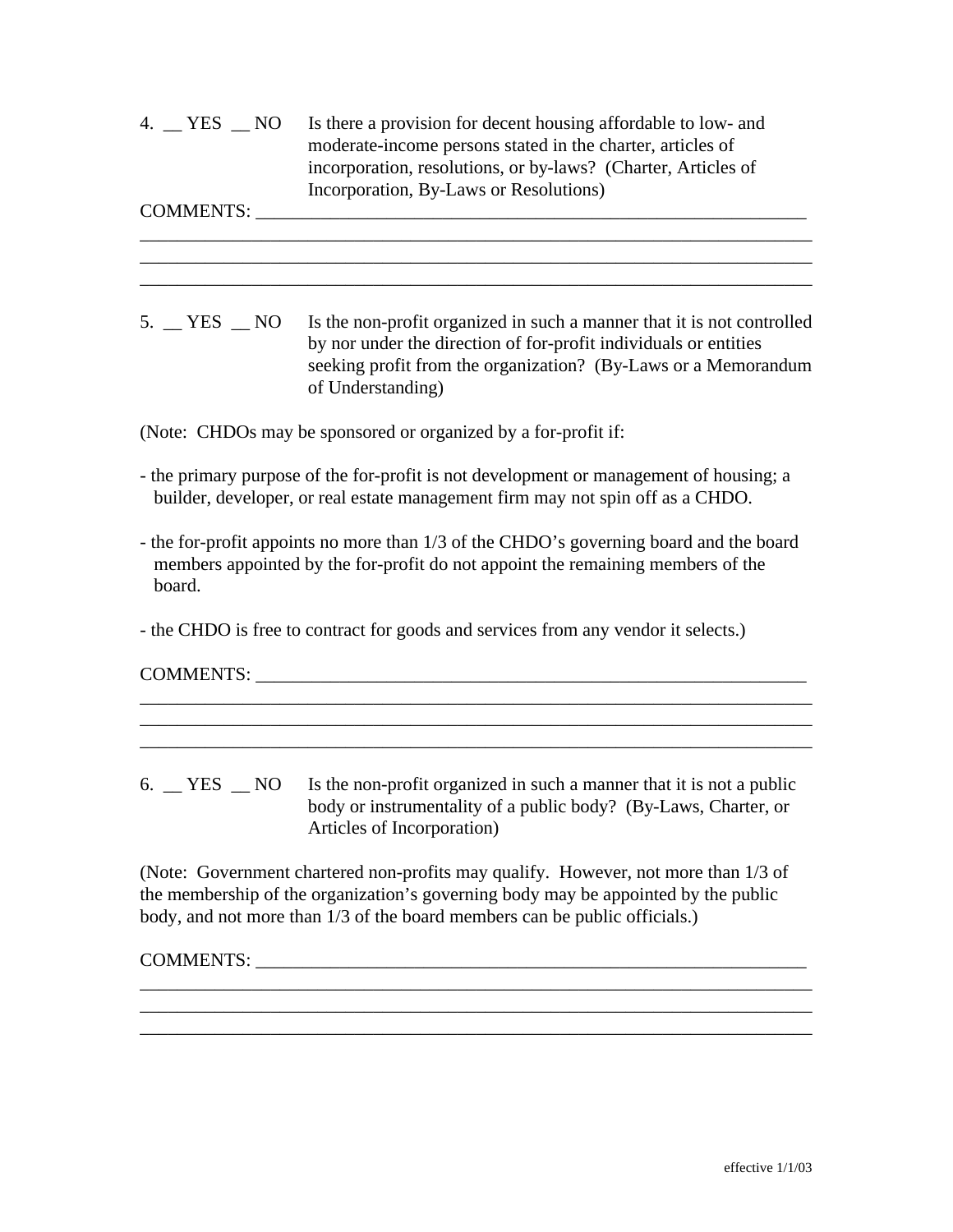| 4. YES NO | Is there a provision for decent housing affordable to low- and |
|-----------|----------------------------------------------------------------|
|           | moderate-income persons stated in the charter, articles of     |
|           | incorporation, resolutions, or by-laws? (Charter, Articles of  |
|           | Incorporation, By-Laws or Resolutions)                         |

COMMENTS: \_\_\_\_\_\_\_\_\_\_\_\_\_\_\_\_\_\_\_\_\_\_\_\_\_\_\_\_\_\_\_\_\_\_\_\_\_\_\_\_\_\_\_\_\_\_\_\_\_\_\_\_\_\_\_\_\_\_\_

5. <u>WES NO</u> Is the non-profit organized in such a manner that it is not controlled by nor under the direction of for-profit individuals or entities seeking profit from the organization? (By-Laws or a Memorandum of Understanding)

\_\_\_\_\_\_\_\_\_\_\_\_\_\_\_\_\_\_\_\_\_\_\_\_\_\_\_\_\_\_\_\_\_\_\_\_\_\_\_\_\_\_\_\_\_\_\_\_\_\_\_\_\_\_\_\_\_\_\_\_\_\_\_\_\_\_\_\_\_\_\_\_ \_\_\_\_\_\_\_\_\_\_\_\_\_\_\_\_\_\_\_\_\_\_\_\_\_\_\_\_\_\_\_\_\_\_\_\_\_\_\_\_\_\_\_\_\_\_\_\_\_\_\_\_\_\_\_\_\_\_\_\_\_\_\_\_\_\_\_\_\_\_\_\_ \_\_\_\_\_\_\_\_\_\_\_\_\_\_\_\_\_\_\_\_\_\_\_\_\_\_\_\_\_\_\_\_\_\_\_\_\_\_\_\_\_\_\_\_\_\_\_\_\_\_\_\_\_\_\_\_\_\_\_\_\_\_\_\_\_\_\_\_\_\_\_\_

(Note: CHDOs may be sponsored or organized by a for-profit if:

- the primary purpose of the for-profit is not development or management of housing; a builder, developer, or real estate management firm may not spin off as a CHDO.
- the for-profit appoints no more than 1/3 of the CHDO's governing board and the board members appointed by the for-profit do not appoint the remaining members of the board.
- the CHDO is free to contract for goods and services from any vendor it selects.)

COMMENTS:

6.  $\angle$  YES  $\angle$  NO Is the non-profit organized in such a manner that it is not a public body or instrumentality of a public body? (By-Laws, Charter, or Articles of Incorporation)

\_\_\_\_\_\_\_\_\_\_\_\_\_\_\_\_\_\_\_\_\_\_\_\_\_\_\_\_\_\_\_\_\_\_\_\_\_\_\_\_\_\_\_\_\_\_\_\_\_\_\_\_\_\_\_\_\_\_\_\_\_\_\_\_\_\_\_\_\_\_\_\_ \_\_\_\_\_\_\_\_\_\_\_\_\_\_\_\_\_\_\_\_\_\_\_\_\_\_\_\_\_\_\_\_\_\_\_\_\_\_\_\_\_\_\_\_\_\_\_\_\_\_\_\_\_\_\_\_\_\_\_\_\_\_\_\_\_\_\_\_\_\_\_\_

(Note: Government chartered non-profits may qualify. However, not more than 1/3 of the membership of the organization's governing body may be appointed by the public body, and not more than 1/3 of the board members can be public officials.)

\_\_\_\_\_\_\_\_\_\_\_\_\_\_\_\_\_\_\_\_\_\_\_\_\_\_\_\_\_\_\_\_\_\_\_\_\_\_\_\_\_\_\_\_\_\_\_\_\_\_\_\_\_\_\_\_\_\_\_\_\_\_\_\_\_\_\_\_\_\_\_\_ \_\_\_\_\_\_\_\_\_\_\_\_\_\_\_\_\_\_\_\_\_\_\_\_\_\_\_\_\_\_\_\_\_\_\_\_\_\_\_\_\_\_\_\_\_\_\_\_\_\_\_\_\_\_\_\_\_\_\_\_\_\_\_\_\_\_\_\_\_\_\_\_ \_\_\_\_\_\_\_\_\_\_\_\_\_\_\_\_\_\_\_\_\_\_\_\_\_\_\_\_\_\_\_\_\_\_\_\_\_\_\_\_\_\_\_\_\_\_\_\_\_\_\_\_\_\_\_\_\_\_\_\_\_\_\_\_\_\_\_\_\_\_\_\_

## COMMENTS: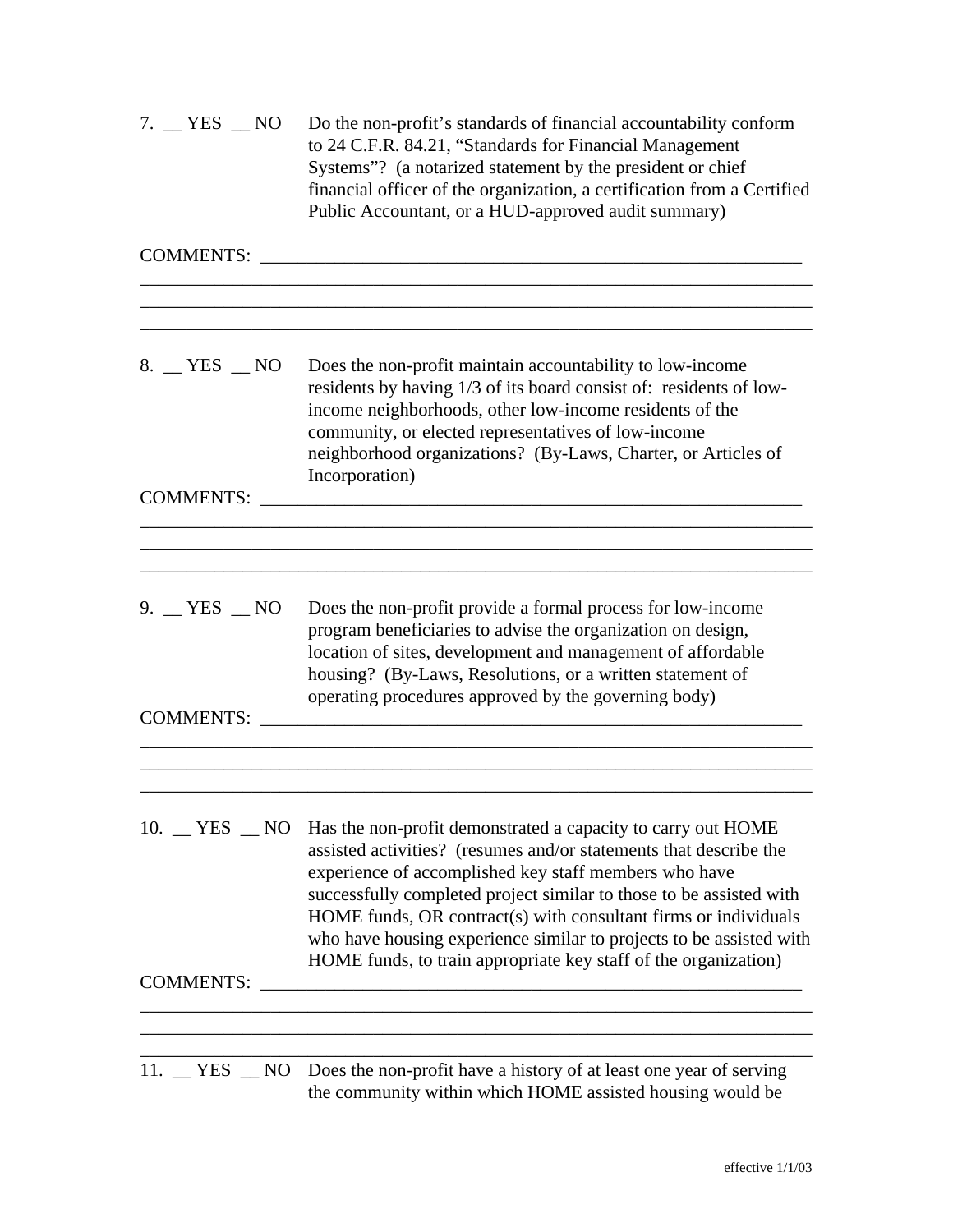| 7. $YES$ NO                   | Do the non-profit's standards of financial accountability conform<br>to 24 C.F.R. 84.21, "Standards for Financial Management<br>Systems"? (a notarized statement by the president or chief<br>financial officer of the organization, a certification from a Certified<br>Public Accountant, or a HUD-approved audit summary)                                                                                                                                                              |
|-------------------------------|-------------------------------------------------------------------------------------------------------------------------------------------------------------------------------------------------------------------------------------------------------------------------------------------------------------------------------------------------------------------------------------------------------------------------------------------------------------------------------------------|
| <b>COMMENTS:</b>              |                                                                                                                                                                                                                                                                                                                                                                                                                                                                                           |
| 8. YES NO                     | Does the non-profit maintain accountability to low-income<br>residents by having 1/3 of its board consist of: residents of low-<br>income neighborhoods, other low-income residents of the<br>community, or elected representatives of low-income<br>neighborhood organizations? (By-Laws, Charter, or Articles of<br>Incorporation)                                                                                                                                                      |
| <b>COMMENTS:</b>              |                                                                                                                                                                                                                                                                                                                                                                                                                                                                                           |
| 9. YES NO<br><b>COMMENTS:</b> | Does the non-profit provide a formal process for low-income<br>program beneficiaries to advise the organization on design,<br>location of sites, development and management of affordable<br>housing? (By-Laws, Resolutions, or a written statement of<br>operating procedures approved by the governing body)                                                                                                                                                                            |
| <b>COMMENTS:</b>              | 10. YES NO Has the non-profit demonstrated a capacity to carry out HOME<br>assisted activities? (resumes and/or statements that describe the<br>experience of accomplished key staff members who have<br>successfully completed project similar to those to be assisted with<br>HOME funds, OR contract(s) with consultant firms or individuals<br>who have housing experience similar to projects to be assisted with<br>HOME funds, to train appropriate key staff of the organization) |
|                               | 11. YES NO Does the non-profit have a history of at least one year of serving                                                                                                                                                                                                                                                                                                                                                                                                             |
|                               | the community within which HOME assisted housing would be                                                                                                                                                                                                                                                                                                                                                                                                                                 |